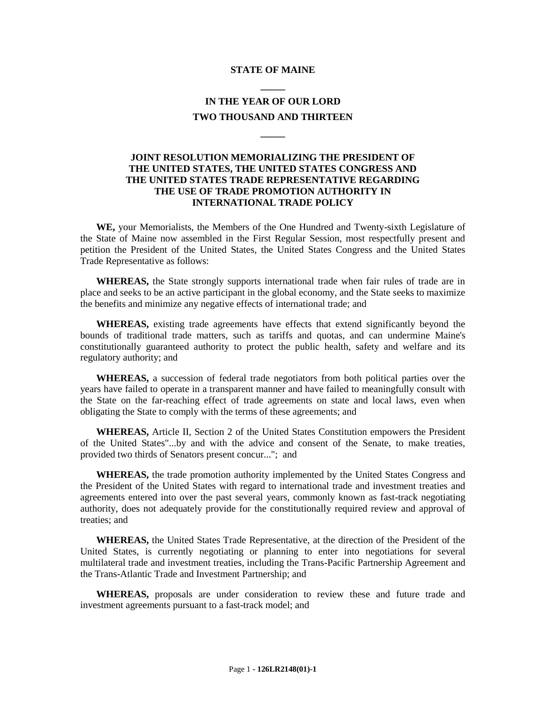## **STATE OF MAINE \_\_\_\_\_**

## **IN THE YEAR OF OUR LORD TWO THOUSAND AND THIRTEEN**

**\_\_\_\_\_**

## **JOINT RESOLUTION MEMORIALIZING THE PRESIDENT OF THE UNITED STATES, THE UNITED STATES CONGRESS AND THE UNITED STATES TRADE REPRESENTATIVE REGARDING THE USE OF TRADE PROMOTION AUTHORITY IN INTERNATIONAL TRADE POLICY**

**WE,** your Memorialists, the Members of the One Hundred and Twenty-sixth Legislature of the State of Maine now assembled in the First Regular Session, most respectfully present and petition the President of the United States, the United States Congress and the United States Trade Representative as follows:

**WHEREAS,** the State strongly supports international trade when fair rules of trade are in place and seeks to be an active participant in the global economy, and the State seeks to maximize the benefits and minimize any negative effects of international trade; and

**WHEREAS,** existing trade agreements have effects that extend significantly beyond the bounds of traditional trade matters, such as tariffs and quotas, and can undermine Maine's constitutionally guaranteed authority to protect the public health, safety and welfare and its regulatory authority; and

**WHEREAS,** a succession of federal trade negotiators from both political parties over the years have failed to operate in a transparent manner and have failed to meaningfully consult with the State on the far-reaching effect of trade agreements on state and local laws, even when obligating the State to comply with the terms of these agreements; and

**WHEREAS,** Article II, Section 2 of the United States Constitution empowers the President of the United States"...by and with the advice and consent of the Senate, to make treaties, provided two thirds of Senators present concur..."; and

**WHEREAS,** the trade promotion authority implemented by the United States Congress and the President of the United States with regard to international trade and investment treaties and agreements entered into over the past several years, commonly known as fast-track negotiating authority, does not adequately provide for the constitutionally required review and approval of treaties; and

**WHEREAS,** the United States Trade Representative, at the direction of the President of the United States, is currently negotiating or planning to enter into negotiations for several multilateral trade and investment treaties, including the Trans-Pacific Partnership Agreement and the Trans-Atlantic Trade and Investment Partnership; and

**WHEREAS,** proposals are under consideration to review these and future trade and investment agreements pursuant to a fast-track model; and